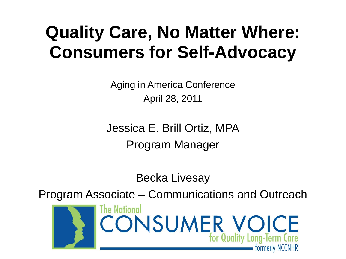### **Quality Care, No Matter Where: Consumers for Self-Advocacy**

Aging in America Conference April 28, 2011

Jessica E. Brill Ortiz, MPA Program Manager

Becka Livesay

Program Associate – Communications and Outreach

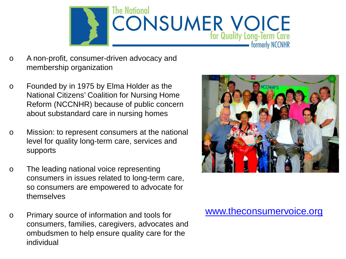

- o A non-profit, consumer-driven advocacy and membership organization
- o Founded by in 1975 by Elma Holder as the National Citizens' Coalition for Nursing Home Reform (NCCNHR) because of public concern about substandard care in nursing homes
- o Mission: to represent consumers at the national level for quality long-term care, services and supports
- o The leading national voice representing consumers in issues related to long-term care, so consumers are empowered to advocate for themselves
- o Primary source of information and tools for consumers, families, caregivers, advocates and ombudsmen to help ensure quality care for the individual



### [www.theconsumervoice.org](http://www.theconsumervoice.org/)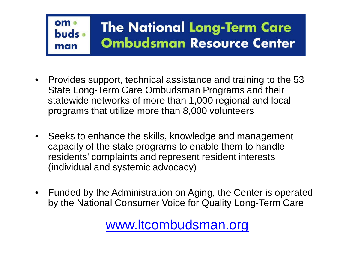#### om • **The National Long-Term Care** buds • **Ombudsman Resource Center** man

- Provides support, technical assistance and training to the 53 State Long-Term Care Ombudsman Programs and their statewide networks of more than 1,000 regional and local programs that utilize more than 8,000 volunteers
- Seeks to enhance the skills, knowledge and management capacity of the state programs to enable them to handle residents' complaints and represent resident interests (individual and systemic advocacy)
- Funded by the Administration on Aging, the Center is operated by the National Consumer Voice for Quality Long-Term Care

### [www.ltcombudsman.org](http://www.ltcombudsman.org/)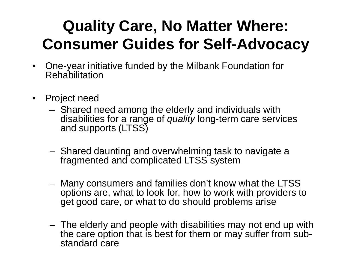### **Quality Care, No Matter Where: Consumer Guides for Self-Advocacy**

- One-year initiative funded by the Milbank Foundation for Rehabilitation
- Project need
	- Shared need among the elderly and individuals with disabilities for a range of *quality* long-term care services and supports (LTSS)
	- Shared daunting and overwhelming task to navigate a fragmented and complicated LTSS system
	- Many consumers and families don't know what the LTSS options are, what to look for, how to work with providers to get good care, or what to do should problems arise
	- The elderly and people with disabilities may not end up with the care option that is best for them or may suffer from sub- standard care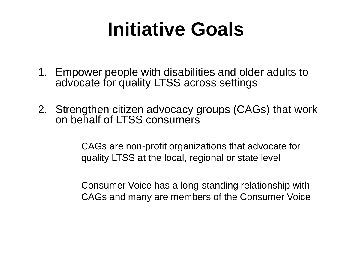## **Initiative Goals**

- 1. Empower people with disabilities and older adults to advocate for quality LTSS across settings
- 2. Strengthen citizen advocacy groups (CAGs) that work on behalf of LTSS consumers
	- CAGs are non-profit organizations that advocate for quality LTSS at the local, regional or state level
	- Consumer Voice has a long-standing relationship with CAGs and many are members of the Consumer Voice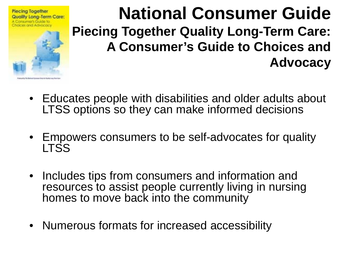

### **National Consumer Guide Piecing Together Quality Long-Term Care: A Consumer's Guide to Choices and Advocacy**

- Educates people with disabilities and older adults about LTSS options so they can make informed decisions
- Empowers consumers to be self-advocates for quality LTSS
- Includes tips from consumers and information and resources to assist people currently living in nursing homes to move back into the community
- Numerous formats for increased accessibility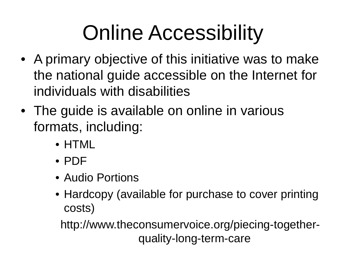## Online Accessibility

- A primary objective of this initiative was to make the national guide accessible on the Internet for individuals with disabilities
- The guide is available on online in various formats, including:
	- HTML
	- PDF
	- Audio Portions
	- Hardcopy (available for purchase to cover printing costs)

http://www.theconsumervoice.org/piecing-togetherquality-long-term-care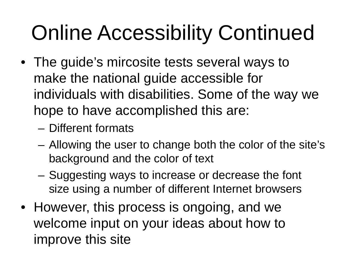# Online Accessibility Continued

- The guide's mircosite tests several ways to make the national guide accessible for individuals with disabilities. Some of the way we hope to have accomplished this are:
	- Different formats
	- Allowing the user to change both the color of the site's background and the color of text
	- Suggesting ways to increase or decrease the font size using a number of different Internet browsers
- However, this process is ongoing, and we welcome input on your ideas about how to improve this site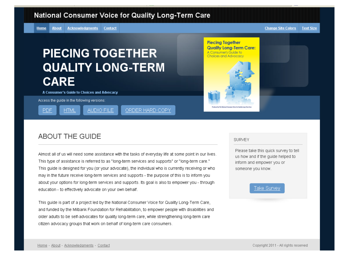#### **National Consumer Voice for Quality Long-Term Care**

**About Acknowledgments** Home Contact **Change Site Colors** 

#### **Text Size**

### **PIECING TOGETHER QUALITY LONG-TERM CARE**

AUDIO FILE

A Consumer's Guide to Choices and Advocacy

Access the guide in the following versions:

**HTML** 

**PDF** 

ORDER HARD COPY

#### **ABOUT THE GUIDE**

Almost all of us will need some assistance with the tasks of everyday life at some point in our lives. ".This type of assistance is referred to as "long-term services and supports" or "long-term care." This guide is designed for you (or your advocate), the individual who is currently receiving or who may in the future receive long-term services and supports - the purpose of this is to inform you about your options for long-term services and supports. Its goal is also to empower you - through education - to effectively advocate on your own behalf.

This guide is part of a project led by the National Consumer Voice for Quality Long-Term Care, and funded by the Milbank Foundation for Rehabilitation, to empower people with disabilities and older adults to be self-advocates for quality long-term care, while strengthening long-term care citizen advocacy groups that work on behalf of long-term care consumers.

**SURVEY** 

**Piecing Together Quality Long-Term Care:** 

A Consumer's Guide to **Choices and Advocacy** 

> Please take this quick survey to tell us how and if the quide helped to inform and empower you or someone you know.

#### Take Survey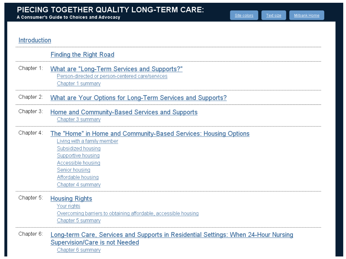A Consumer's Guide to Choices and Advocacy

Text size

#### Introduction

| <b>Finding the Right Road</b> |  |  |  |
|-------------------------------|--|--|--|
|-------------------------------|--|--|--|

#### Chapter 1: What are "Long-Term Services and Supports?" Person-directed or person-centered care/services Chapter 1 summary

Chapter 2: What are Your Options for Long-Term Services and Supports?

Chapter 3: Home and Community-Based Services and Supports Chapter 3 summary

#### Chapter 4: The "Home" in Home and Community-Based Services: Housing Options

Living with a family member Subsidized housing Supportive housing Accessible housing Senior housing Affordable housing Chapter 4 summary

#### Chapter 5: **Housing Rights**

Your rights Overcoming barriers to obtaining affordable, accessible housing Chapter 5 summary

Chapter 6: Long-term Care, Services and Supports in Residential Settings: When 24-Hour Nursing Supervision/Care is not Needed

Chapter 6 summary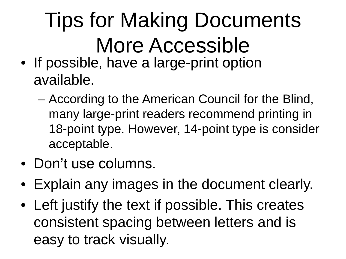# Tips for Making Documents More Accessible

- If possible, have a large-print option available.
	- According to the American Council for the Blind, many large-print readers recommend printing in 18-point type. However, 14-point type is consider acceptable.
- Don't use columns.
- Explain any images in the document clearly.
- Left justify the text if possible. This creates consistent spacing between letters and is easy to track visually.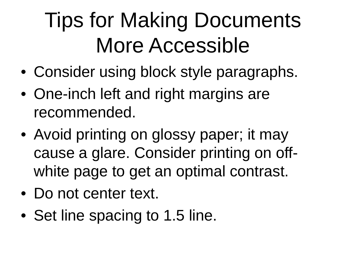## Tips for Making Documents More Accessible

- Consider using block style paragraphs.
- One-inch left and right margins are recommended.
- Avoid printing on glossy paper; it may cause a glare. Consider printing on offwhite page to get an optimal contrast.
- Do not center text.
- Set line spacing to 1.5 line.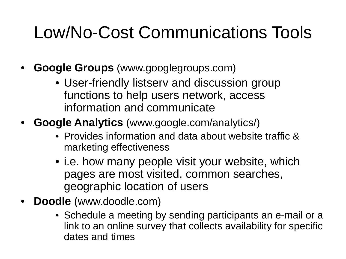## Low/No-Cost Communications Tools

- **Google Groups** (www.googlegroups.com)
	- User-friendly listserv and discussion group functions to help users network, access information and communicate
- **Google Analytics** (www.google.com/analytics/)
	- Provides information and data about website traffic & marketing effectiveness
	- i.e. how many people visit your website, which pages are most visited, common searches, geographic location of users
- **Doodle** (www.doodle.com)
	- Schedule a meeting by sending participants an e-mail or a link to an online survey that collects availability for specific dates and times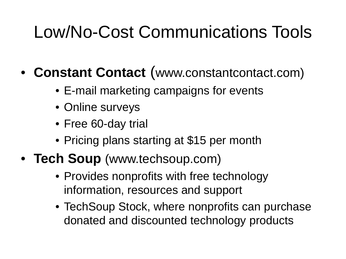## Low/No-Cost Communications Tools

- **Constant Contact** (www.constantcontact.com)
	- E-mail marketing campaigns for events
	- Online surveys
	- Free 60-day trial
	- Pricing plans starting at \$15 per month
- **Tech Soup** (www.techsoup.com)
	- Provides nonprofits with free technology information, resources and support
	- TechSoup Stock, where nonprofits can purchase donated and discounted technology products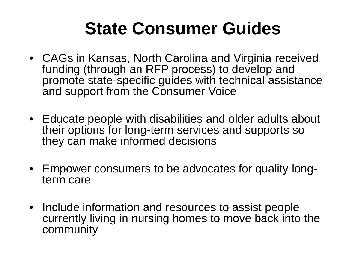## **State Consumer Guides**

- CAGs in Kansas, North Carolina and Virginia received funding (through an RFP process) to develop and promote state-specific guides with technical assistance and support from the Consumer Voice
- Educate people with disabilities and older adults about their options for long-term services and supports so they can make informed decisions
- Empower consumers to be advocates for quality long- term care
- Include information and resources to assist people currently living in nursing homes to move back into the community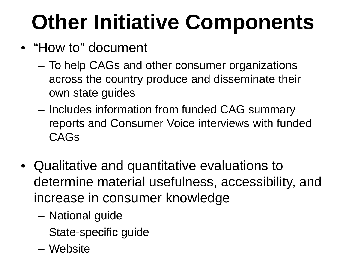# **Other Initiative Components**

- "How to" document
	- To help CAGs and other consumer organizations across the country produce and disseminate their own state guides
	- Includes information from funded CAG summary reports and Consumer Voice interviews with funded CAGs
- Qualitative and quantitative evaluations to determine material usefulness, accessibility, and increase in consumer knowledge
	- National guide
	- State-specific guide
	- Website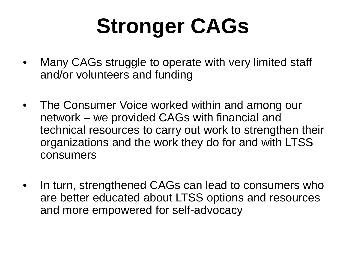# **Stronger CAGs**

- Many CAGs struggle to operate with very limited staff and/or volunteers and funding
- The Consumer Voice worked within and among our network – we provided CAGs with financial and technical resources to carry out work to strengthen their organizations and the work they do for and with LTSS consumers
- In turn, strengthened CAGs can lead to consumers who are better educated about LTSS options and resources and more empowered for self-advocacy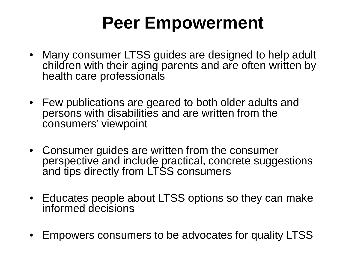### **Peer Empowerment**

- Many consumer LTSS guides are designed to help adult children with their aging parents and are often written by health care professionals
- Few publications are geared to both older adults and persons with disabilities and are written from the consumers' viewpoint
- Consumer guides are written from the consumer perspective and include practical, concrete suggestions and tips directly from LTSS consumers
- Educates people about LTSS options so they can make informed decisions
- Empowers consumers to be advocates for quality LTSS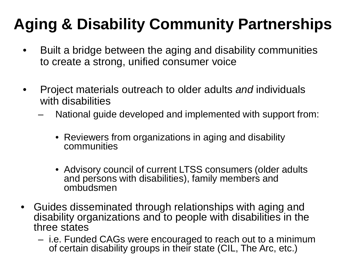### **Aging & Disability Community Partnerships**

- Built a bridge between the aging and disability communities to create a strong, unified consumer voice
- Project materials outreach to older adults *and* individuals with disabilities
	- National guide developed and implemented with support from:
		- Reviewers from organizations in aging and disability communities
		- Advisory council of current LTSS consumers (older adults and persons with disabilities), family members and ombudsmen
- Guides disseminated through relationships with aging and disability organizations and to people with disabilities in the three states
	- i.e. Funded CAGs were encouraged to reach out to a minimum of certain disability groups in their state (CIL, The Arc, etc.)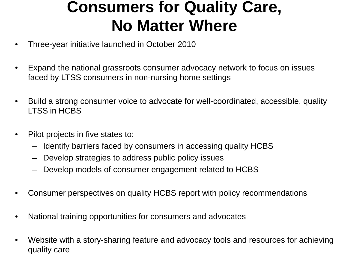### **Consumers for Quality Care, No Matter Where**

- Three-year initiative launched in October 2010
- Expand the national grassroots consumer advocacy network to focus on issues faced by LTSS consumers in non-nursing home settings
- Build a strong consumer voice to advocate for well-coordinated, accessible, quality LTSS in HCBS
- Pilot projects in five states to:
	- Identify barriers faced by consumers in accessing quality HCBS
	- Develop strategies to address public policy issues
	- Develop models of consumer engagement related to HCBS
- Consumer perspectives on quality HCBS report with policy recommendations
- National training opportunities for consumers and advocates
- Website with a story-sharing feature and advocacy tools and resources for achieving quality care